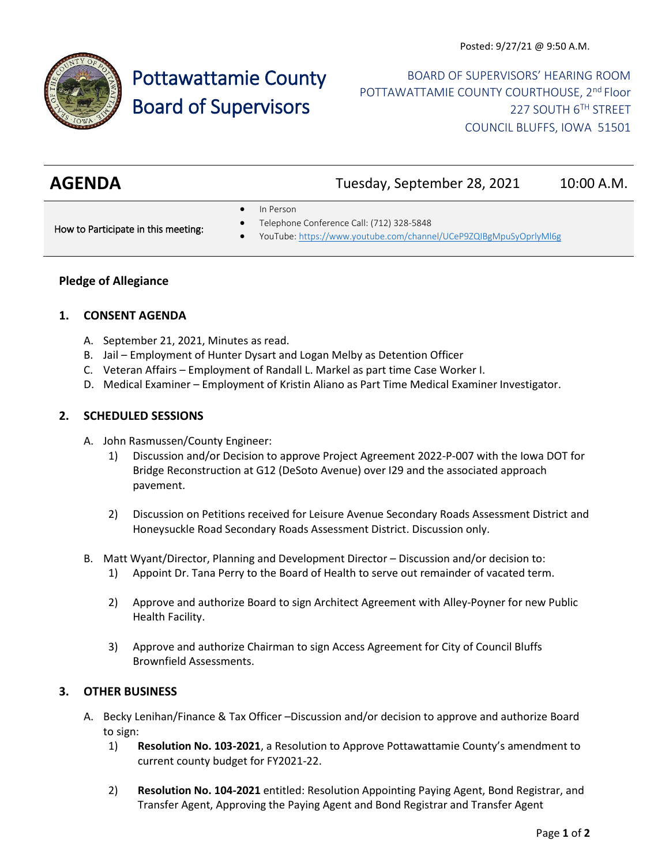

# Pottawattamie County Board of Supervisors

BOARD OF SUPERVISORS' HEARING ROOM POTTAWATTAMIE COUNTY COURTHOUSE, 2<sup>nd</sup> Floor 227 SOUTH 6TH STREET COUNCIL BLUFFS, IOWA 51501

| <b>AGENDA</b> | Tuesday, September 28, 2021 | 10:00 A.M. |
|---------------|-----------------------------|------------|
|               |                             |            |

• In Person

How to Participate in this meeting:

- Telephone Conference Call: (712) 328-5848
- YouTube[: https://www.youtube.com/channel/UCeP9ZQIBgMpuSyOprlyMl6g](https://www.youtube.com/channel/UCeP9ZQIBgMpuSyOprlyMl6g)

#### **Pledge of Allegiance**

#### **1. CONSENT AGENDA**

- A. September 21, 2021, Minutes as read.
- B. Jail Employment of Hunter Dysart and Logan Melby as Detention Officer
- C. Veteran Affairs Employment of Randall L. Markel as part time Case Worker I.
- D. Medical Examiner Employment of Kristin Aliano as Part Time Medical Examiner Investigator.

#### **2. SCHEDULED SESSIONS**

- A. John Rasmussen/County Engineer:
	- 1) Discussion and/or Decision to approve Project Agreement 2022-P-007 with the Iowa DOT for Bridge Reconstruction at G12 (DeSoto Avenue) over I29 and the associated approach pavement.
	- 2) Discussion on Petitions received for Leisure Avenue Secondary Roads Assessment District and Honeysuckle Road Secondary Roads Assessment District. Discussion only.
- B. Matt Wyant/Director, Planning and Development Director Discussion and/or decision to:
	- 1) Appoint Dr. Tana Perry to the Board of Health to serve out remainder of vacated term.
	- 2) Approve and authorize Board to sign Architect Agreement with Alley-Poyner for new Public Health Facility.
	- 3) Approve and authorize Chairman to sign Access Agreement for City of Council Bluffs Brownfield Assessments.

## **3. OTHER BUSINESS**

- A. Becky Lenihan/Finance & Tax Officer –Discussion and/or decision to approve and authorize Board to sign:
	- 1) **Resolution No. 103-2021**, a Resolution to Approve Pottawattamie County's amendment to current county budget for FY2021-22.
	- 2) **Resolution No. 104-2021** entitled: Resolution Appointing Paying Agent, Bond Registrar, and Transfer Agent, Approving the Paying Agent and Bond Registrar and Transfer Agent